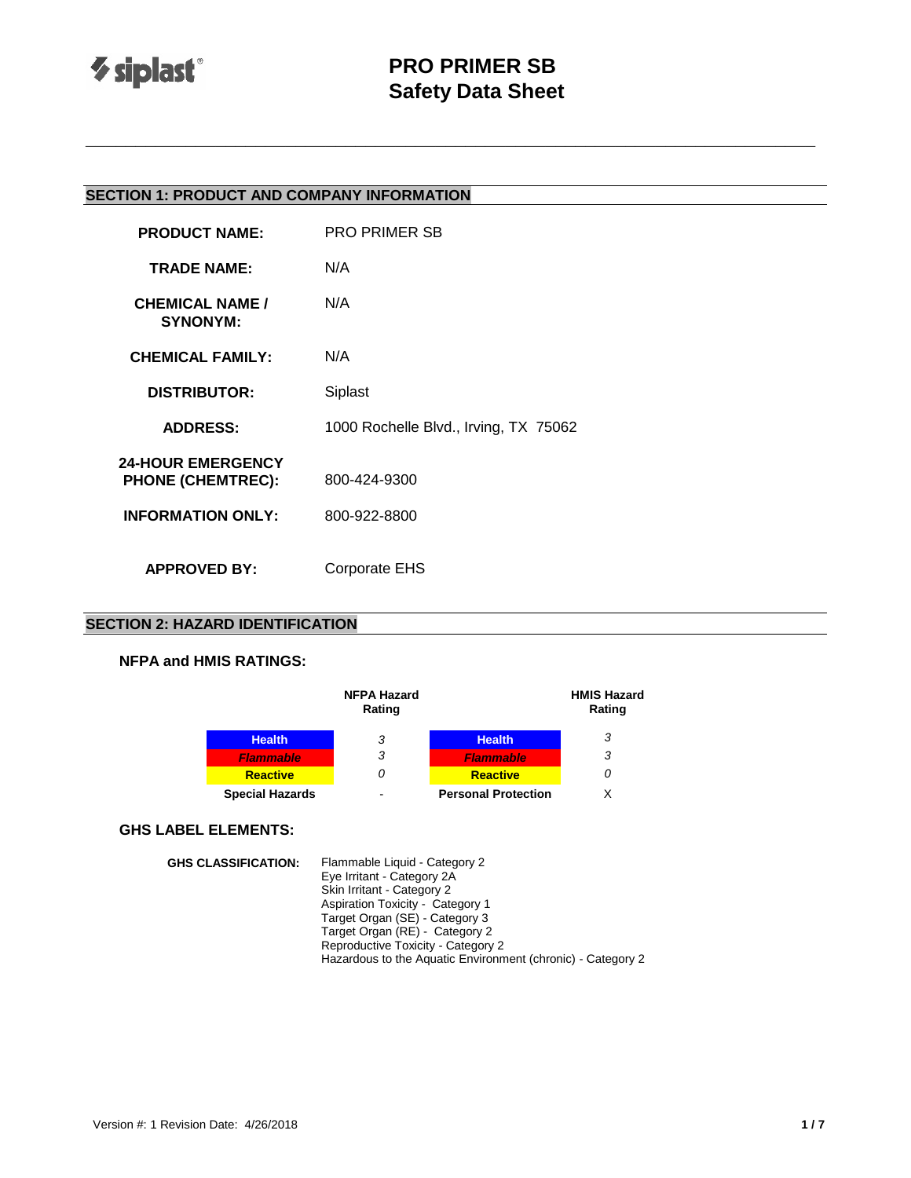

# **PRO PRIMER SB Safety Data Sheet**

**\_\_\_\_\_\_\_\_\_\_\_\_\_\_\_\_\_\_\_\_\_\_\_\_\_\_\_\_\_\_\_\_\_\_\_\_\_\_\_\_\_\_\_\_\_\_\_\_\_\_\_\_\_\_\_\_\_\_\_\_\_\_\_\_\_\_\_\_\_\_\_\_\_**

## **SECTION 1: PRODUCT AND COMPANY INFORMATION**

| <b>PRODUCT NAME:</b>                                                             | <b>PRO PRIMER SB</b>                  |
|----------------------------------------------------------------------------------|---------------------------------------|
| <b>TRADE NAME:</b>                                                               | N/A                                   |
| <b>CHEMICAL NAME /</b><br><b>SYNONYM:</b>                                        | N/A                                   |
| <b>CHEMICAL FAMILY:</b>                                                          | N/A                                   |
| <b>DISTRIBUTOR:</b>                                                              | Siplast                               |
| <b>ADDRESS:</b>                                                                  | 1000 Rochelle Blvd., Irving, TX 75062 |
| <b>24-HOUR EMERGENCY</b><br><b>PHONE (CHEMTREC):</b><br><b>INFORMATION ONLY:</b> | 800-424-9300<br>800-922-8800          |
|                                                                                  |                                       |
| <b>APPROVED BY:</b>                                                              | Corporate EHS                         |

## **SECTION 2: HAZARD IDENTIFICATION**

#### **NFPA and HMIS RATINGS:**

|                        | <b>NFPA Hazard</b><br>Rating |                            | <b>HMIS Hazard</b><br>Rating |
|------------------------|------------------------------|----------------------------|------------------------------|
| <b>Health</b>          | 3                            | <b>Health</b>              | 3                            |
| <b>Flammable</b>       | 3                            | <b>Flammable</b>           | 3                            |
| <b>Reactive</b>        | 0                            | <b>Reactive</b>            | 0                            |
| <b>Special Hazards</b> | -                            | <b>Personal Protection</b> |                              |

### **GHS LABEL ELEMENTS:**

**GHS CLASSIFICATION:** Flammable Liquid - Category 2 Eye Irritant - Category 2A Skin Irritant - Category 2 Aspiration Toxicity - Category 1 Target Organ (SE) - Category 3 Target Organ (RE) - Category 2 Reproductive Toxicity - Category 2 Hazardous to the Aquatic Environment (chronic) - Category 2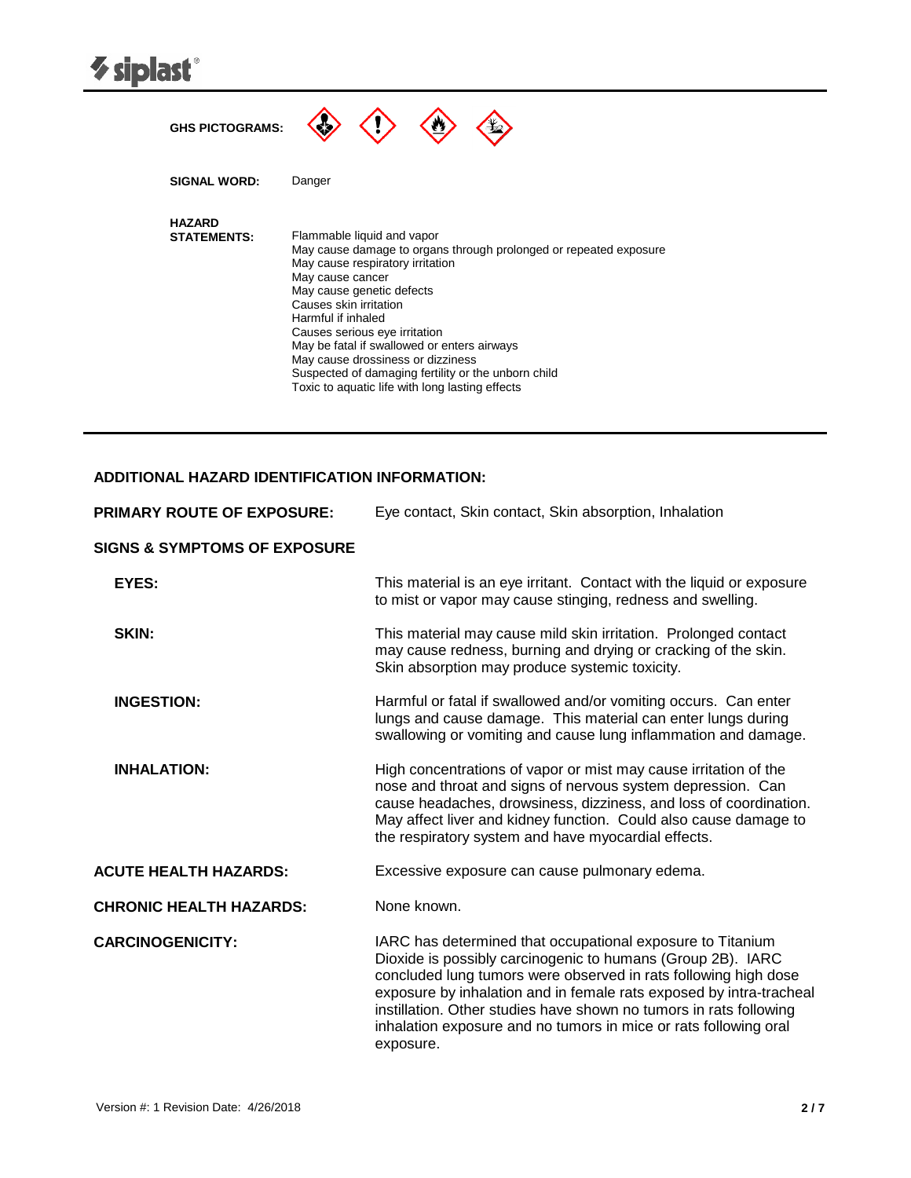| <b><i>V</i></b> siplast®            |                                                                                                                                                                                                                                                                                                                                                                                                                                                                     |
|-------------------------------------|---------------------------------------------------------------------------------------------------------------------------------------------------------------------------------------------------------------------------------------------------------------------------------------------------------------------------------------------------------------------------------------------------------------------------------------------------------------------|
| <b>GHS PICTOGRAMS:</b>              |                                                                                                                                                                                                                                                                                                                                                                                                                                                                     |
| <b>SIGNAL WORD:</b>                 | Danger                                                                                                                                                                                                                                                                                                                                                                                                                                                              |
| <b>HAZARD</b><br><b>STATEMENTS:</b> | Flammable liquid and vapor<br>May cause damage to organs through prolonged or repeated exposure<br>May cause respiratory irritation<br>May cause cancer<br>May cause genetic defects<br>Causes skin irritation<br>Harmful if inhaled<br>Causes serious eye irritation<br>May be fatal if swallowed or enters airways<br>May cause drossiness or dizziness<br>Suspected of damaging fertility or the unborn child<br>Toxic to aquatic life with long lasting effects |

## **ADDITIONAL HAZARD IDENTIFICATION INFORMATION:**

| <b>PRIMARY ROUTE OF EXPOSURE:</b>       | Eye contact, Skin contact, Skin absorption, Inhalation                                                                                                                                                                                                                                                                                                                                                                     |
|-----------------------------------------|----------------------------------------------------------------------------------------------------------------------------------------------------------------------------------------------------------------------------------------------------------------------------------------------------------------------------------------------------------------------------------------------------------------------------|
| <b>SIGNS &amp; SYMPTOMS OF EXPOSURE</b> |                                                                                                                                                                                                                                                                                                                                                                                                                            |
| EYES:                                   | This material is an eye irritant. Contact with the liquid or exposure<br>to mist or vapor may cause stinging, redness and swelling.                                                                                                                                                                                                                                                                                        |
| SKIN:                                   | This material may cause mild skin irritation. Prolonged contact<br>may cause redness, burning and drying or cracking of the skin.<br>Skin absorption may produce systemic toxicity.                                                                                                                                                                                                                                        |
| <b>INGESTION:</b>                       | Harmful or fatal if swallowed and/or vomiting occurs. Can enter<br>lungs and cause damage. This material can enter lungs during<br>swallowing or vomiting and cause lung inflammation and damage.                                                                                                                                                                                                                          |
| <b>INHALATION:</b>                      | High concentrations of vapor or mist may cause irritation of the<br>nose and throat and signs of nervous system depression. Can<br>cause headaches, drowsiness, dizziness, and loss of coordination.<br>May affect liver and kidney function. Could also cause damage to<br>the respiratory system and have myocardial effects.                                                                                            |
| <b>ACUTE HEALTH HAZARDS:</b>            | Excessive exposure can cause pulmonary edema.                                                                                                                                                                                                                                                                                                                                                                              |
| <b>CHRONIC HEALTH HAZARDS:</b>          | None known.                                                                                                                                                                                                                                                                                                                                                                                                                |
| <b>CARCINOGENICITY:</b>                 | IARC has determined that occupational exposure to Titanium<br>Dioxide is possibly carcinogenic to humans (Group 2B). IARC<br>concluded lung tumors were observed in rats following high dose<br>exposure by inhalation and in female rats exposed by intra-tracheal<br>instillation. Other studies have shown no tumors in rats following<br>inhalation exposure and no tumors in mice or rats following oral<br>exposure. |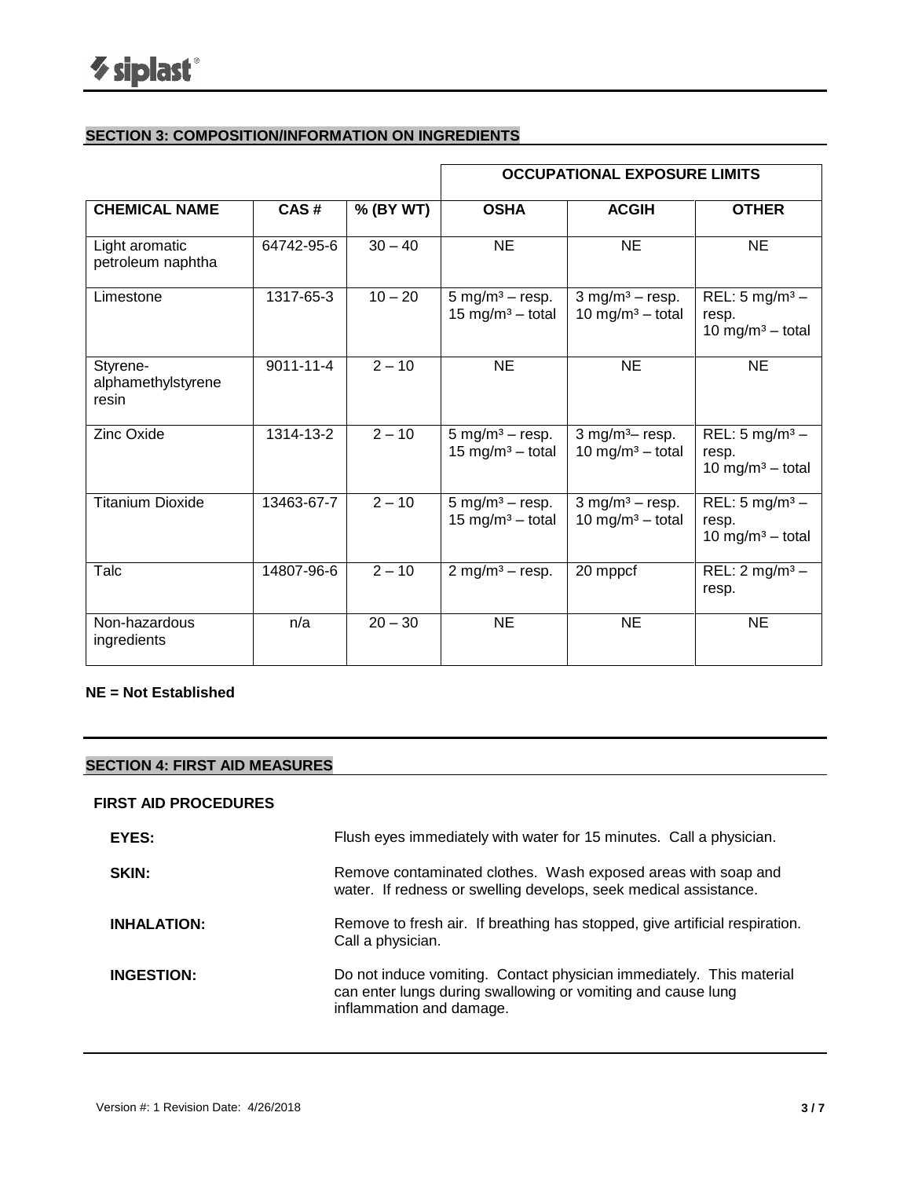## **SECTION 3: COMPOSITION/INFORMATION ON INGREDIENTS**

|                                         |                 |           |                                                                   | <b>OCCUPATIONAL EXPOSURE LIMITS</b>                           |                                                                    |
|-----------------------------------------|-----------------|-----------|-------------------------------------------------------------------|---------------------------------------------------------------|--------------------------------------------------------------------|
| <b>CHEMICAL NAME</b>                    | CAS#            | % (BY WT) | <b>OSHA</b>                                                       | <b>ACGIH</b>                                                  | <b>OTHER</b>                                                       |
| Light aromatic<br>petroleum naphtha     | 64742-95-6      | $30 - 40$ | <b>NE</b>                                                         | <b>NE</b>                                                     | <b>NE</b>                                                          |
| Limestone                               | 1317-65-3       | $10 - 20$ | $5 \text{ mg/m}^3 - \text{resp.}$<br>15 mg/m <sup>3</sup> – total | $3$ mg/m <sup>3</sup> - resp.<br>10 mg/m <sup>3</sup> - total | REL: $5 \text{ mg/m}^3$ –<br>resp.<br>10 mg/m <sup>3</sup> - total |
| Styrene-<br>alphamethylstyrene<br>resin | $9011 - 11 - 4$ | $2 - 10$  | <b>NE</b>                                                         | <b>NE</b>                                                     | <b>NE</b>                                                          |
| <b>Zinc Oxide</b>                       | 1314-13-2       | $2 - 10$  | 5 mg/m <sup>3</sup> – resp.<br>15 mg/m <sup>3</sup> - total       | 3 mg/m <sup>3</sup> $-$ resp.<br>10 mg/m <sup>3</sup> - total | REL: $5 \text{ mg/m}^3$ –<br>resp.<br>10 mg/m <sup>3</sup> – total |
| <b>Titanium Dioxide</b>                 | 13463-67-7      | $2 - 10$  | $5 \text{ mg/m}^3 - \text{resp.}$<br>15 mg/m <sup>3</sup> – total | $3$ mg/m <sup>3</sup> – resp.<br>10 mg/m <sup>3</sup> - total | REL: $5 \text{ mg/m}^3$ –<br>resp.<br>10 mg/m <sup>3</sup> – total |
| Talc                                    | 14807-96-6      | $2 - 10$  | 2 mg/m <sup>3</sup> – resp.                                       | 20 mppcf                                                      | REL: $2 \text{ mg/m}^3$ –<br>resp.                                 |
| Non-hazardous<br>ingredients            | n/a             | $20 - 30$ | <b>NE</b>                                                         | <b>NE</b>                                                     | <b>NE</b>                                                          |

## **NE = Not Established**

## **SECTION 4: FIRST AID MEASURES**

## **FIRST AID PROCEDURES**

| EYES:              | Flush eyes immediately with water for 15 minutes. Call a physician.                                                                                              |
|--------------------|------------------------------------------------------------------------------------------------------------------------------------------------------------------|
| SKIN:              | Remove contaminated clothes. Wash exposed areas with soap and<br>water. If redness or swelling develops, seek medical assistance.                                |
| <b>INHALATION:</b> | Remove to fresh air. If breathing has stopped, give artificial respiration.<br>Call a physician.                                                                 |
| <b>INGESTION:</b>  | Do not induce vomiting. Contact physician immediately. This material<br>can enter lungs during swallowing or vomiting and cause lung<br>inflammation and damage. |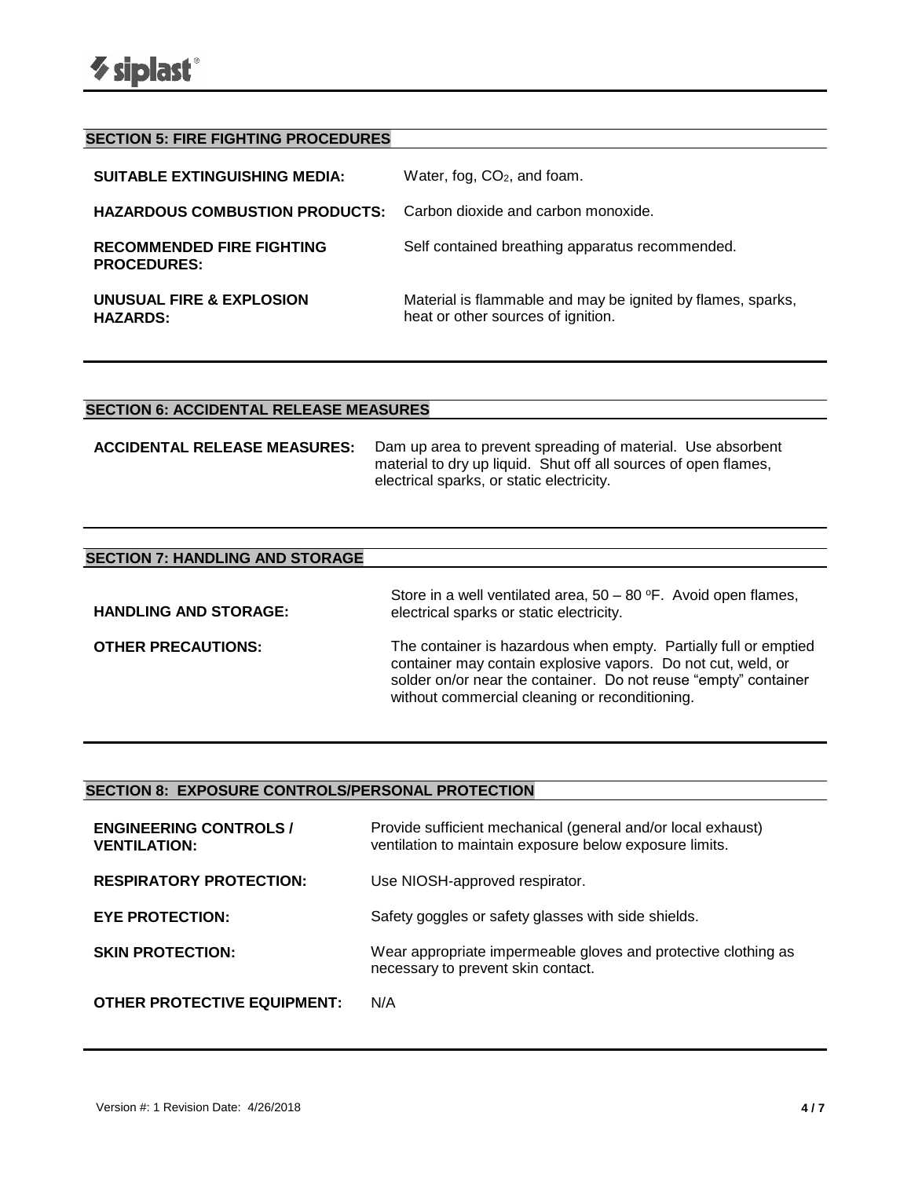| <b>SECTION 5: FIRE FIGHTING PROCEDURES</b>                                |                                                                                                   |
|---------------------------------------------------------------------------|---------------------------------------------------------------------------------------------------|
| <b>SUITABLE EXTINGUISHING MEDIA:</b>                                      | Water, fog, $CO2$ , and foam.                                                                     |
| <b>HAZARDOUS COMBUSTION PRODUCTS:</b> Carbon dioxide and carbon monoxide. |                                                                                                   |
| <b>RECOMMENDED FIRE FIGHTING</b><br><b>PROCEDURES:</b>                    | Self contained breathing apparatus recommended.                                                   |
| UNUSUAL FIRE & EXPLOSION<br><b>HAZARDS:</b>                               | Material is flammable and may be ignited by flames, sparks,<br>heat or other sources of ignition. |

## **SECTION 6: ACCIDENTAL RELEASE MEASURES**

**ACCIDENTAL RELEASE MEASURES:** Dam up area to prevent spreading of material. Use absorbent material to dry up liquid. Shut off all sources of open flames, electrical sparks, or static electricity.

| <b>SECTION 7: HANDLING AND STORAGE</b> |                                                                                                                                                                                                                                                       |
|----------------------------------------|-------------------------------------------------------------------------------------------------------------------------------------------------------------------------------------------------------------------------------------------------------|
| <b>HANDLING AND STORAGE:</b>           | Store in a well ventilated area, $50 - 80$ °F. Avoid open flames,<br>electrical sparks or static electricity.                                                                                                                                         |
| <b>OTHER PRECAUTIONS:</b>              | The container is hazardous when empty. Partially full or emptied<br>container may contain explosive vapors. Do not cut, weld, or<br>solder on/or near the container. Do not reuse "empty" container<br>without commercial cleaning or reconditioning. |

## **SECTION 8: EXPOSURE CONTROLS/PERSONAL PROTECTION**

| <b>ENGINEERING CONTROLS /</b><br><b>VENTILATION:</b> | Provide sufficient mechanical (general and/or local exhaust)<br>ventilation to maintain exposure below exposure limits. |
|------------------------------------------------------|-------------------------------------------------------------------------------------------------------------------------|
| <b>RESPIRATORY PROTECTION:</b>                       | Use NIOSH-approved respirator.                                                                                          |
| <b>EYE PROTECTION:</b>                               | Safety goggles or safety glasses with side shields.                                                                     |
| <b>SKIN PROTECTION:</b>                              | Wear appropriate impermeable gloves and protective clothing as<br>necessary to prevent skin contact.                    |
| <b>OTHER PROTECTIVE EQUIPMENT:</b>                   | N/A                                                                                                                     |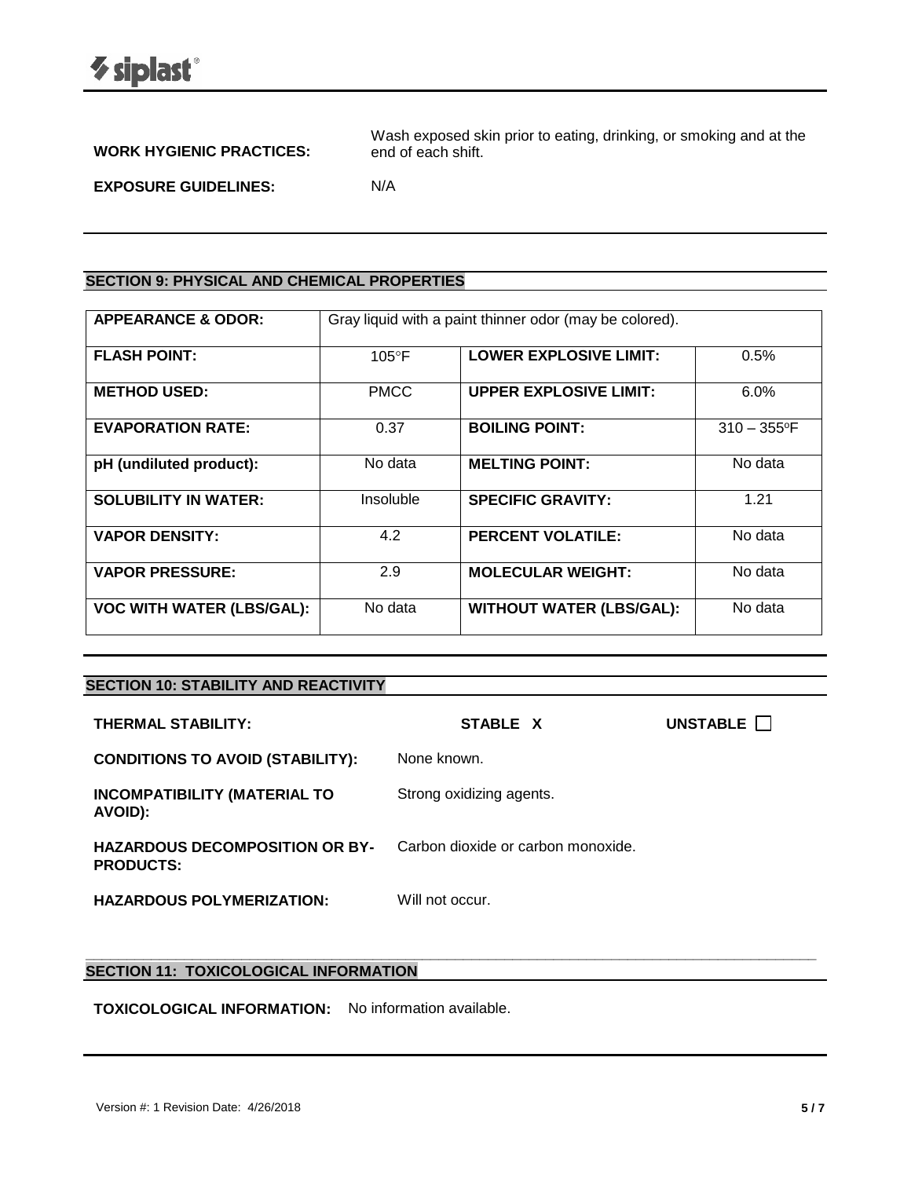| <b>WORK HYGIENIC PRACTICES:</b> | Wash exposed skin prior to eating, drinking, or smoking and at the<br>end of each shift. |
|---------------------------------|------------------------------------------------------------------------------------------|
| <b>EXPOSURE GUIDELINES:</b>     | N/A                                                                                      |

## **SECTION 9: PHYSICAL AND CHEMICAL PROPERTIES**

| <b>APPEARANCE &amp; ODOR:</b>    | Gray liquid with a paint thinner odor (may be colored). |                                 |                            |
|----------------------------------|---------------------------------------------------------|---------------------------------|----------------------------|
| <b>FLASH POINT:</b>              | $105^{\circ}$ F                                         | <b>LOWER EXPLOSIVE LIMIT:</b>   | 0.5%                       |
| <b>METHOD USED:</b>              | <b>PMCC</b>                                             | <b>UPPER EXPLOSIVE LIMIT:</b>   | 6.0%                       |
| <b>EVAPORATION RATE:</b>         | 0.37                                                    | <b>BOILING POINT:</b>           | $310 - 355$ <sup>o</sup> F |
| pH (undiluted product):          | No data                                                 | <b>MELTING POINT:</b>           | No data                    |
| <b>SOLUBILITY IN WATER:</b>      | Insoluble                                               | <b>SPECIFIC GRAVITY:</b>        | 1.21                       |
| <b>VAPOR DENSITY:</b>            | 4.2                                                     | <b>PERCENT VOLATILE:</b>        | No data                    |
| <b>VAPOR PRESSURE:</b>           | 2.9                                                     | <b>MOLECULAR WEIGHT:</b>        | No data                    |
| <b>VOC WITH WATER (LBS/GAL):</b> | No data                                                 | <b>WITHOUT WATER (LBS/GAL):</b> | No data                    |

## **SECTION 10: STABILITY AND REACTIVITY**

| THERMAL STABILITY:                                        | STABLE X                           | UNSTABLE <b>N</b> |
|-----------------------------------------------------------|------------------------------------|-------------------|
| <b>CONDITIONS TO AVOID (STABILITY):</b>                   | None known.                        |                   |
| <b>INCOMPATIBILITY (MATERIAL TO</b><br>AVOID):            | Strong oxidizing agents.           |                   |
| <b>HAZARDOUS DECOMPOSITION OR BY-</b><br><b>PRODUCTS:</b> | Carbon dioxide or carbon monoxide. |                   |
| <b>HAZARDOUS POLYMERIZATION:</b>                          | Will not occur.                    |                   |

**\_\_\_\_\_\_\_\_\_\_\_\_\_\_\_\_\_\_\_\_\_\_\_\_\_\_\_\_\_\_\_\_\_\_\_\_\_\_\_\_\_\_\_\_\_\_\_\_\_\_\_\_\_\_\_\_\_\_\_\_\_\_\_\_\_\_\_\_\_\_\_\_\_\_\_\_\_\_\_\_\_\_\_\_\_\_\_\_\_**

## **SECTION 11: TOXICOLOGICAL INFORMATION**

**TOXICOLOGICAL INFORMATION:** No information available.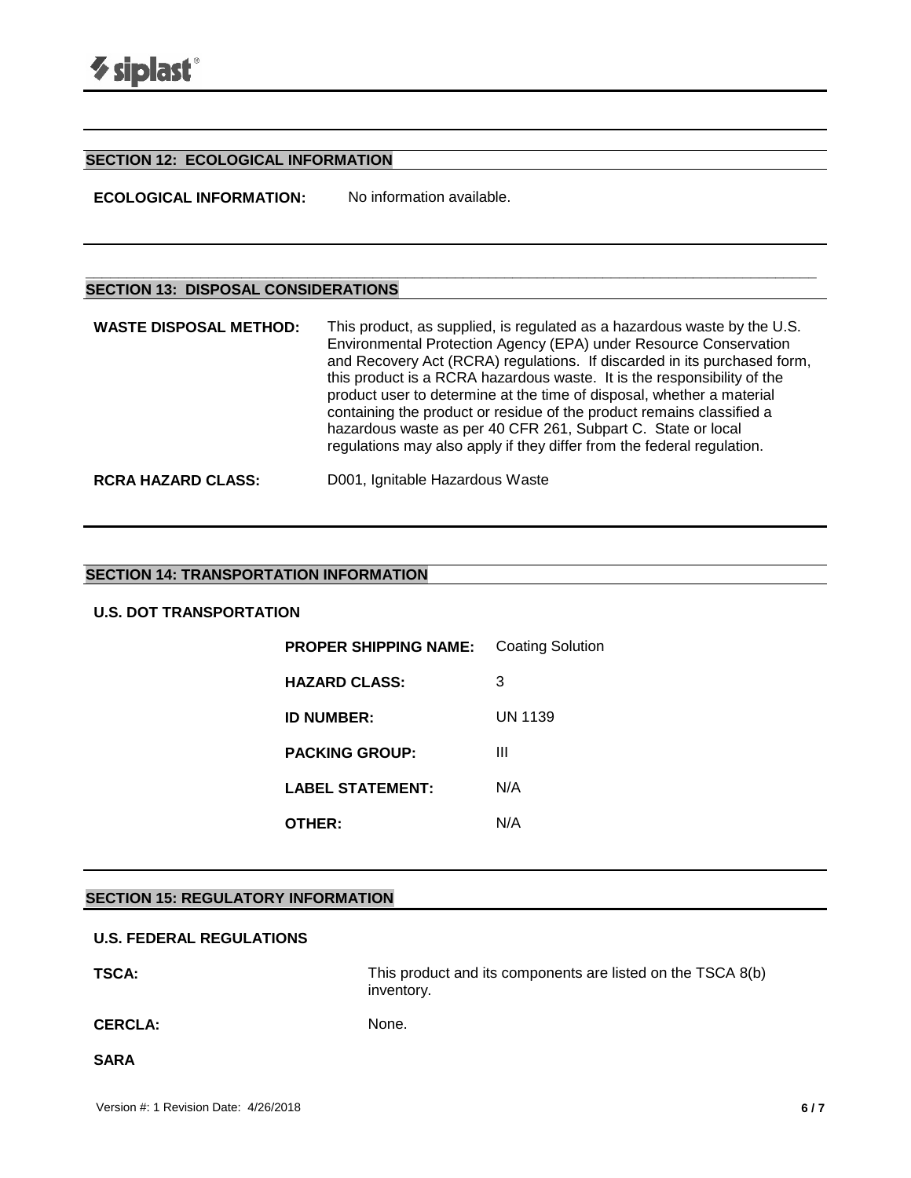## **SECTION 12: ECOLOGICAL INFORMATION**

**ECOLOGICAL INFORMATION:** No information available.

## **SECTION 13: DISPOSAL CONSIDERATIONS**

| <b>WASTE DISPOSAL METHOD:</b> | This product, as supplied, is regulated as a hazardous waste by the U.S.<br>Environmental Protection Agency (EPA) under Resource Conservation<br>and Recovery Act (RCRA) regulations. If discarded in its purchased form,<br>this product is a RCRA hazardous waste. It is the responsibility of the<br>product user to determine at the time of disposal, whether a material<br>containing the product or residue of the product remains classified a<br>hazardous waste as per 40 CFR 261, Subpart C. State or local<br>regulations may also apply if they differ from the federal regulation. |
|-------------------------------|--------------------------------------------------------------------------------------------------------------------------------------------------------------------------------------------------------------------------------------------------------------------------------------------------------------------------------------------------------------------------------------------------------------------------------------------------------------------------------------------------------------------------------------------------------------------------------------------------|
| <b>RCRA HAZARD CLASS:</b>     | D001, Ignitable Hazardous Waste                                                                                                                                                                                                                                                                                                                                                                                                                                                                                                                                                                  |

**\_\_\_\_\_\_\_\_\_\_\_\_\_\_\_\_\_\_\_\_\_\_\_\_\_\_\_\_\_\_\_\_\_\_\_\_\_\_\_\_\_\_\_\_\_\_\_\_\_\_\_\_\_\_\_\_\_\_\_\_\_\_\_\_\_\_\_\_\_\_\_\_\_\_\_\_\_\_\_\_\_\_\_\_\_\_\_\_\_**

## **SECTION 14: TRANSPORTATION INFORMATION**

## **U.S. DOT TRANSPORTATION**

| <b>PROPER SHIPPING NAME:</b> | Coating Solution |
|------------------------------|------------------|
| <b>HAZARD CLASS:</b>         | 3                |
| <b>ID NUMBER:</b>            | UN 1139          |
| <b>PACKING GROUP:</b>        | Ш                |
| <b>LABEL STATEMENT:</b>      | N/A              |
| OTHER:                       | N/A              |

#### **SECTION 15: REGULATORY INFORMATION**

### **U.S. FEDERAL REGULATIONS**

**TSCA:** THIS product and its components are listed on the TSCA 8(b) inventory.

CERCLA: None.

**SARA**